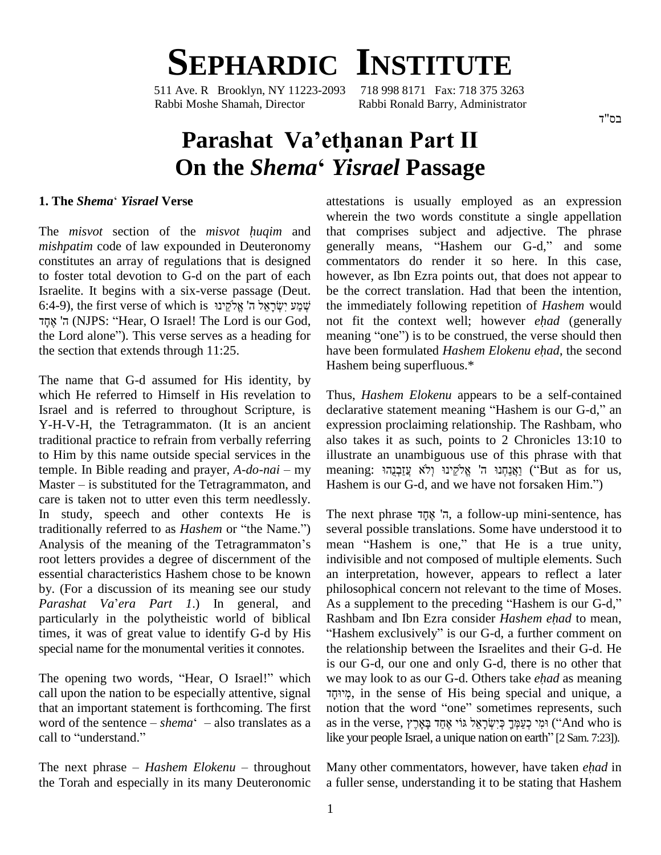

511 Ave. R Brooklyn, NY 11223-2093 718 998 8171 Fax: 718 375 3263 Rabbi Moshe Shamah, Director Rabbi Ronald Barry, Administrator

## **Parashat Vaíethanan Part II On the** *Shema***<sup>ë</sup>** *Yisrael* **Passage**

## **1. The** *Shema*<sup>ë</sup> *Yisrael* **Verse**

The *misvot* section of the *misvot <sup>h</sup>uqim* and constitutes an array of regulations that is designed to foster total devotion to G-d on the part of each howev<br>Israelite. It begins with a six-verse passage (Deut. be the<br>6:4-9), the first verse of which is שְׁמַע יִשְׂרָאֱל ה' אֱלֹקֵינוּ the im Israelite. It begins with a six-verse passage (Deut. ʤte. It begins with a six-verse passage (Deut. b<br>, the first verse of which is שְׁמַע יִשְׂרָאֵל ה' אֱלֹקֵינוּ,<br>(NJPS: "Hear, O Israel! The Lord is our God, ne the Lord aloneî). This verse serves as <sup>a</sup> heading for the section that extends through 11:25.

The name that G-d assumed for His identity, by which He referred to Himself in His revelation to Israel and is referred to throughout Scripture, is Y-H-V-H, the Tetragrammaton. (It is an ancient traditional practice to refrain from verbally referring to Him by this name outside special services in the traditional practice to refrain from verbally referring also to<br>to Him by this name outside special services in the illustratemple. In Bible reading and prayer, *A-do-nai* – my meani to Him by this name outside special services in the illustratemple. In Bible reading and prayer,  $A$ - $do$ - $nai$  – my meani Master – is substituted for the Tetragrammaton, and Hashe care is taken not to utter even this term needlessly.<br>In study, speech and other contexts He is The<br>traditionally referred to as *Hashem* or "the Name.") sev In study, speech and other contexts He is root letters provides a degree of discernment of the essential characteristics Hashem chose to be known by. (For a discussion of its meaning see our study *Parashat Va*í*era Part <sup>1</sup>*.) In general, and special name for the monumental verities it connotes.

The opening two words, "Hear, O Israel!" which call upon the nation to be especially attentive, signal that an important statement is forthcoming. The first notio word of the sentence  $-hema^c$  also translates as a as in that an important statement is forthcoming. The first not<br>word of the sentence  $-\sin \theta$  also translates as a as<br>call to "understand."

the Torah and especially in its many Deuteronomic

*mishpatim* code of law expounded in Deuteronomy generally means, "Hashem our G-d," and some attestations is usually employed as an expression wherein the two words constitute a single appellation that comprises subject and adjective. The phrase wherein the two words constitute a single appellation<br>that comprises subject and adjective. The phrase<br>generally means, "Hashem our G-d," and some commentators do render it so here. In this case, however, as Ibn Ezra points out, that does not appear to be the correct translation. Had that been the intention, the immediately following repetition of*Hashem* would be the correct translation. Had that been the intention, the immediately following repetition of *Hashem* would not fit the context well; however *ehad* (generally the immediately following repetition of *Hashem* would<br>not fit the context well; however *ehad* (generally<br>meaning "one") is to be construed, the verse should then have been formulated *Hashem Elokenu ehad* (generally meaning "one") is to be construed, the verse should then have been formulated *Hashem Elokenu ehad*, the second Hashem being superfluous.\*

> Thus, *Hashem Elokenu* appears to be a self-contained declarative statement meaning "Hashem is our G-d," an expression proclaiming relationship. The Rashbam, who also takes it as such, points to 2 Chronicles 13:10 to<br>illustrate an unambiguous use of this phrase with that<br>meaning: אֲצַהְּתוּ ה' אֱלֹקֵינוּ (''Sut as for us, illustrate an unambiguous use of this phrase with that Hashem is our G-d, and we have not forsaken Him.î) Hashem is our G-d, and we<br>The next phrase  $\overline{z}$ , a

traditionally referred to as *Hashem* or "the Name.") several possible translations. Some have understood it to Analysis of the meaning of the Tetragrammaton's mean "Hashem is one," that He is a true unity, particularly in the polytheistic world of biblical Rashbam and Ibn Ezra consider Hashem ehad to mean, times, it was of great value to identify G-d by His "Hashem exclusively" is our G-d, a further comment on reall to "understand." like your people Israel, a unique nation on earth" [2 Sam. 7:23]).<br>The next phrase *– Hashem Elokenu* – throughout Many other commentators, however, have taken *ehad* in , a follow-up mini-sentence, has several possible translations. Some have understood it to The next phrase ה' אֶתָד, a follow-up mini-sentence, has several possible translations. Some have understood it to mean "Hashem is one," that He is a true unity, indivisible and not composed of multiple elements. Such an interpretation, however, appears to reflect a later philosophical concern not relevant to the time of Moses.<br>As a supplement to the preceding "Hashem is our G-d," philosophical concern notrelevant to the time of Moses. philosophical concern not relevant to the time of Moses.<br>As a supplement to the preceding "Hashem is our G-d,"<br>Rashbam and Ibn Ezra consider *Hashem ehad* to mean, As a supplement to the preceding "Hashem is our G-d,"<br>Rashbam and Ibn Ezra consider *Hashem ehad* to mean,<br>Hashem exclusively" is our G-d, a further comment on the relationship between the Israelites and their G-d. He we may look to as our G-d. Others take *ehad* as meaning is our G-d, our one and only G-d, there is no other that ּמְיוּחֶד, in the sense of His being special and unique, a notion that the word "one" sometimes represents, such as in the verse, יְשָׁרָאֵל גּוֹי אֲחֲד we may look to as our G-d. Others take *ehad* as meaning notion that the word "one" sometimes represents, such as in the verse, וּמֵי בַאֲרֵע גּוֹי $\gamma$  (4:4s). אִמְיֹ

Many other commentators, however, have taken *ehad* in a fuller sense, understanding it to be stating that Hashem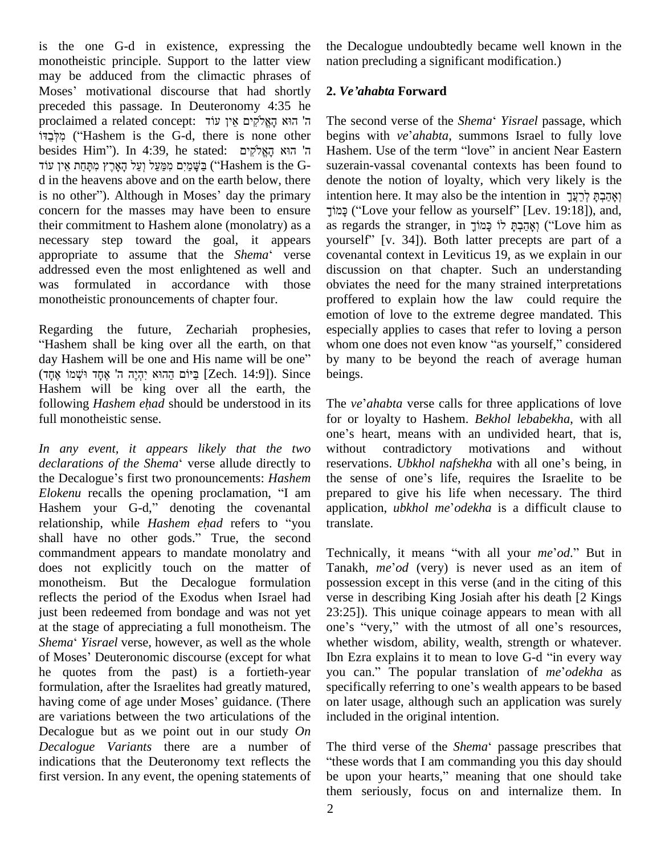is the one G-d in existence, expressing the monotheistic principle. Support to the latter view may be adduced from the climactic phrases of monotheistic principle. Support to the latter view nation<br>may be adduced from the climactic phrases of<br>Moses' motivational discourse that had shortly 2. Ve' preceded this passage. In Deuteronomy 4:35 he<br>
ד הוא הָאֱלֹקִים אֵין עוֹד The s<br>
(Hashem is the G-d, there is none other begin ה' הוא הַאֱלֹקִים אֵין עוֹד Proceded this passage. In Deuteronomy 4:35 he proclaimed a related concept: ה' הוא הָאֱלֹקִים אֵין עוֹד ה' הוא הָאֱלֹקִים אֵין עוֹד Th<br>קַלְּבַדוֹ ('Hashem is the G-d, there is none other beg<br>hesides Him''). In 4:39, he stated: ה' הוא הָאֱלֹקִים ֹמְלָבֵדּוֹ ("Hashem is the G-d, there is none other begy) פִלְכָּדּוֹ ("Hashem is the G-d, there is none other beg<br>הַעֲּמַיִּם אִפְעַל וְעַל הָאָרֶץ מִתְּחַת אֵין עוֹד Hashem is the G- suz d in the heavens above and on the earth below, there ַבְּשֶׁמַיִם מִמַּעַל וְעַל הָאָרֶץ מִתְּחַת אֵין עוֹד ("Hashem is the G-d in the heavens above and on the earth below, there is no other"). Although in Moses' day the primary concern for the masses may have been to ensure necessary step toward the goal, it appears their commitment to Hashem alone (monolatry) as a as re<br>necessary step toward the goal, it appears yours<br>appropriate to assume that the *Shema*<sup>e</sup> verse cover addressed even the most enlightened as well and was formulated in accordance with those monotheistic pronouncements of chapter four.

en<br>Regarding the future, Zechariah prophesies, es<br>"Hashem shall be king over all the earth, on that wi Regarding the future, Zechariah prophesies, especenties when the same will be king over all the earth, on that whor day Hashem will be one and His name will be one" by m "Hashem shall be king over all the earth, on that whor<br>day Hashem will be one and His name will be one" by m<br>קֲכִּיוֹם הֲהוּא יִהְיֶה ה' אֶחֶד וּשְׁמוֹ [Zech. 14:9]). Since being "Hashem shall be king over all the earth, on that Hashem will be king over all the earth, the (קָהָה ה' אֶחָד וּשְׁמוֹ אֶחָד [Zech. 14:9]). Since Hashem will be king over all the earth, the following *Hashem ehad* should be understood in its full monotheistic sense.

*In any event, it appears likely that the two* one's<br>*In any event, it appears likely that the two* withou<br>*declarations of the Shema*<sup>e</sup> verse allude directly to reserv In any event, it appears likely that the two without declarations of the Shema<sup>'</sup> verse allude directly to reservation the Decalogue's first two pronouncements: *Hashem* the sense *declarations of the Shema* verse allude directly to reservation the Decalogue's first two pronouncements: *Hashem* the sense *Elokenu* recalls the opening proclamation, "I am prepared to the Decalogue's first two pronouncements: *Hashem* the *Elokenu* recalls the opening proclamation, "I am predishem your G-d," denoting the covenantal ap *Elokenu* recalls the opening proclamation, "I am prepare Hashem your G-d," denoting the covenantal applic relationship, while *Hashem ehad* refers to "you transla Hashem your G-d," denoting the covenantal application, *ubkhol me'odekha* is a difficult clause to relationship, while *Hashem ehad* refers to "you translate.<br>shall have no other gods." True, the second commandment appears to mandate monolatry and monotheism. But the Decalogue formulation reflects the period of the Exodus when Israel had just been redeemed from bondage and was not yet at the stage of appreciating a full monotheism. The just been redeemed from bondage and was not yet 23:25<br>at the stage of appreciating a full monotheism. The one's<br>*Shema' Yisrael* verse, however, as well as the whole whetl at the stage of appreciating a full monotheism. The<br>Shema' Yisrael verse, however, as well as the whole who<br>of Moses' Deuteronomic discourse (except for what Ib he quotes from the past) is a fortieth-year you<br>formulation, after the Israelites had greatly matured, speci<br>having come of age under Moses' guidance. (There on la are variations between the two articulations of the Decalogue but as we point out in our study *On Decalogue Variants* there are a number of indications that the Deuteronomy text reflects the first version. In any event, the opening statements of

the Decalogue undoubtedly became well known in the nation precluding a significant modification.) **2.** *Veíahabta* **Forward**

2. *Ve'ahabta* Forward<br>The second verse of the *Shema*<sup>e</sup> *Yisrael* passage, which their commitment to Hashem alone (monolatry) as a as regards the stranger, in אֲהָבְהָּ לוֹ כָּמוֹךָ ("Love him as The second verse of the *Shema<sup>c</sup> Yisrael* passage, which<br>begins with *ve*'*ahabta*, summons Israel to fully love The second verse of the *Shema* '*Yisrael* passage, which<br>begins with *ve'ahabta*, summons Israel to fully love<br>Hashem. Use of the term "love" in ancient Near Eastern suzerain-vassal covenantal contexts has been found to denote the notion of loyalty, which very likely is the intention here. It may also be the intention in [אֲקִבְתַּ לְרֵעֱך te the notion of loyalty, which very likely is the<br>(אָהַבְתָּ לְרֵעֲךָ fitellow as yourself" [Lev. 19:18]), and, intention here. It may also be the intention in יְאֲהַבְהָּ לְרֵעֲךָ<br>הַמוֹךָ ("Love your fellow as yourself" [Lev. 19:18]), and, as regards the stranger, in כְּמוֹךָ ("Love him as güzy ("Love your fellow as yourself" [Lev. 19:18]), and, as regards the stranger, in וְאֲהַבְּתָּ לוֹ בְּמוֹךָ<br>וְאֶהַבְּתָּ לוֹ כָּמוֹךָ ("Love him as yourself" [v. 34]). Both latter precepts are part of a covenantal context in Leviticus 19, as we explain in our discussion on that chapter. Such an understanding obviates the need for the many strained interpretations proffered to explain how the law could require the emotion of love to the extreme degree mandated. This especially applies to cases that refer to loving a person whom one does not even know "as yourself," considered by many to be beyond the reach of average human beings.

> The *ve ahabta* verse calls for three applications of love for or loyalty to Hashem. *Bekhol lebabekha*, with all The *ve'ahabta* verse calls for three applications of love<br>for or loyalty to Hashem. *Bekhol lebabekha*, with all<br>one's heart, means with an undivided heart, that is, without contradictory motivations and without one's heart, means with an undivided heart, that is,<br>without contradictory motivations and without<br>reservations. *Ubkhol nafshekha* with all one's being, in without contradictory motivations and without<br>reservations. *Ubkhol nafshekha* with all one's being, in<br>the sense of one's life, requires the Israelite to be prepared to give his life when necessary. The third the sense of one's life, requires the Israelite to be prepared to give his life when necessary. The third application, *ubkhol me odekha* is a difficult clause to translate.

does not explicitly touch on the matter of Tanakh, me'od (very) is never used as an item of formulation, after the Israelites had greatly matured, specifically referring to one's wealth appears to be based translate.<br>Technically, it means "with all your *me'od*." But in Technically, it means "with all your *me'od*." But in<br>Tanakh, *me'od* (very) is never used as an item of possession except in this verse (and in the citing of this verse in describing King Josiah after his death [2 Kings 23:25]). This unique coinage appears to mean with all verse in describing King Josiah after his death [2 Kings 23:25]). This unique coinage appears to mean with all one's "very," with the utmost of all one's resources, whether wisdom, ability, wealth, strength or whatever.<br>Ibn Ezra explains it to mean to love G-d "in every way<br>you can." The popular translation of *me'odekha* as one's "very," with the utmost of all one's resources,<br>whether wisdom, ability, wealth, strength or whatever.<br>Ibn Ezra explains it to mean to love G-d "in every way Ibn Ezra explains it to mean to love G-d "in every way you can." The popular translation of  $me'odekha$  as on later usage, although such an application was surely included in the original intention.

> The third verse of the *Shema*<sup>c</sup> passage prescribes that these words that I am commanding you this day should be upon your hearts," meaning that one should take them seriously, focus on and internalize them. In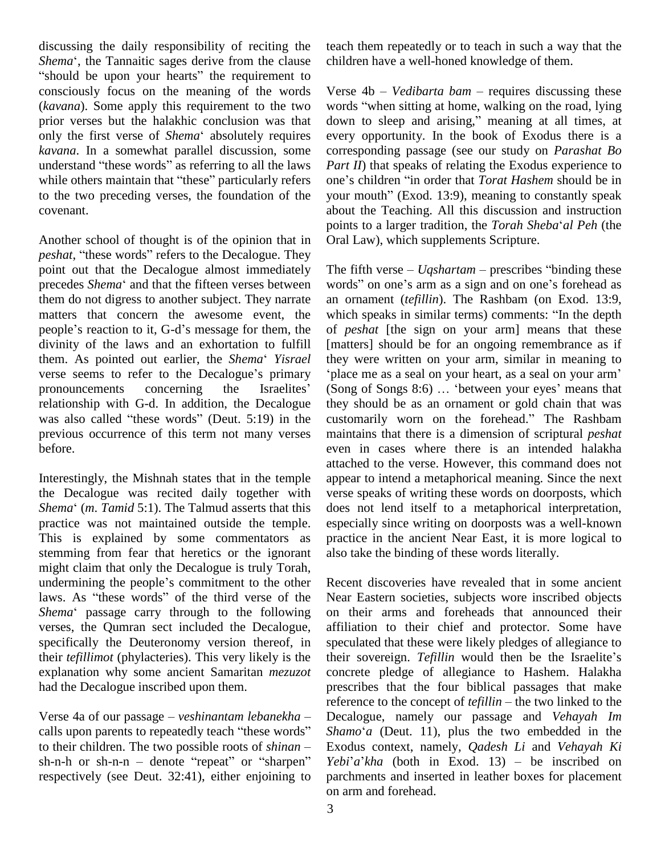discussing the daily responsibility of reciting the discussing the daily responsibility of reciting the teach<br>Shema<sup>\*</sup>, the Tannaitic sages derive from the clause child discussing the daily responsibility of reciting the teach Shema', the Tannaitic sages derive from the clause childre<br>"should be upon your hearts" the requirement to consciously focus on the meaning of the words prior verses but the halakhic conclusion was that (*kavana*). Some apply this requirement to the two words prior verses but the halakhic conclusion was that dow only the first verse of *Shema*<sup>\*</sup> absolutely requires ever *kavana*. In a somewhat parallel discussion, some only the first verse of *Shema*' absolutely requires ever<br>kavana. In a somewhat parallel discussion, some corre<br>understand "these words" as referring to all the laws *Pari* kavana. In a somewhat parallel discussion, some corrunderstand "these words" as referring to all the laws Particularly refers one" to the two preceding verses, the foundation of the covenant.

Another school of thought is of the opinion that in Oral L points<br>Another school of thought is of the opinion that in Oral L<br>*peshat*, "these words" refers to the Decalogue. They point out that the Decalogue almost immediately peshat, "these words" refers to the Decalogue. They<br>point out that the Decalogue almost immediately The fifth verse – *Uqshartam* – prescribes "binding these<br>precedes *Shema*' and that the fifteen verses between words" on them do not digress to another subject. They narrate an on matters that concern the awesome event, the which people's reaction to it, G-d's message for them, the of p matters that concern the awesome event, the divinity of the laws and an exhortation to fulfill people's reaction to it, G-d's message for them, the divinity of the laws and an exhortation to fulfill them. As pointed out earlier, the *Shema*<sup>c</sup> *Yisrael* divinity of the laws and an exhortation to fulfill [matter them. As pointed out earlier, the *Shema' Yisrael* they verse seems to refer to the Decalogue's primary 'place them. As pointed out earlier, the *Shema' Yisrael* the verse seems to refer to the Decalogue's primary 'plater' pronouncements concerning the Israelites' (Sc relationship with G-d. In addition, the Decalogue pronouncements concerning the Israelites' (Song<br>relationship with G-d. In addition, the Decalogue they<br>was also called "these words" (Deut. 5:19) in the custo previous occurrence of this term not many verses before.

Interestingly, the Mishnah states that in the temple the Decalogue was recited daily together with verse Interestingly, the Mishnah states that in the temple apperthe Decalogue was recited daily together with vers *Shema'* (*m. Tamid* 5:1). The Talmud asserts that this does practice was not maintained outside the temple. This is explained by some commentators as stemming from fear that heretics or the ignorant also<br>might claim that only the Decalogue is truly Torah,<br>undermining the people's commitment to the other Ree might claim that only the Decalogue is truly Torah, might claim that only the Decalogue is truly Torah,<br>undermining the people's commitment to the other Rece<br>laws. As "these words" of the third verse of the Near undermining the people's commitment to the other<br>laws. As "these words" of the third verse of the Near J<br>Shema' passage carry through to the following on th verses, the Qumran sect included the Decalogue, specifically the Deuteronomy version thereof, in explanation why some ancient Samaritan *mezuzot* had the Decalogue inscribed upon them. had the Decalogue inscribed upon them. prescr<br>references and our passage – *veshinantam lebanekha* – Decale

refere<br>Verse 4a of our passage – *veshinantam lebanekha* – Deca<br>calls upon parents to repeatedly teach "these words" Sham Verse 4a of our passage – *veshinantam lebanekha* – Decale calls upon parents to repeatedly teach "these words" Shame to their children. The two possible roots of *shinan* – Exodu respectively (see Deut. 32:41), either enjoining to

teach them repeatedly or to teach in such a way that the children have a well-honed knowledge of them. children have a well-honed knowledge of them.<br>Verse 4b – *Vedibarta bam* – requires discussing these

(*kavana*). Some apply this requirement to the two words "when sitting at home, walking on the road, lying Verse  $4b$  – *Vedibarta bam* – requires discussing these words "when sitting at home, walking on the road, lying down to sleep and arising," meaning at all times, at every opportunity. In the book of Exodus there is a corresponding passage (see our study on *Parashat Bo Part II*) that speaks of relating the Exodus experience to corresponding passage (see our study on *Parashat Bo*<br>*Part II*) that speaks of relating the Exodus experience to<br>one's children "in order that *Torat Hashem* should be in *Part II*) that speaks of relating the Exodus experience to one's children "in order that *Torat Hashem* should be in your mouth" (Exod. 13:9), meaning to constantly speak about the Teaching. All this discussion and instruction your mouth" (Exod. 13:9), meaning to constantly speak about the Teaching. All this discussion and instruction points to a larger tradition, the *Torah Sheba*<sup>*'al Peh* (the</sup> Oral Law), which supplements Scripture. Oral Law), which supplements Scripture.<br>The fifth verse – *Uqshartam* – prescribes "binding these

The fifth verse  $-$  *Uqshartam*  $-$  prescribes "binding these words" on one's arm as a sign and on one's forehead as an ornament (*tefillin*). The Rashbam (on Exod. 13:9, which speaks in similar terms) comments: "In the depth of *peshat* [the sign on your arm] means that these [matters] should be for an ongoing remembrance as if they were written on your arm, similar in meaning to matters] should be for an ongoing remembrance as if<br>hey were written on your arm, similar in meaning to<br>place me as a seal on your heart, as a seal on your arm' they were written on your arm, similar in meaning to 'place me as a seal on your heart, as a seal on your arm'<br>(Song of Songs 8:6) ... 'between your eyes' means that they should be as an ornament or gold chain that was (Song of Songs  $8:6$ ) ... 'between your eyes' means that<br>they should be as an ornament or gold chain that was<br>customarily worn on the forehead." The Rashbam maintains that there is a dimension of scriptural *peshat* even in cases where there is an intended halakha attached to the verse. However, this command does not appear to intend a metaphorical meaning. Since the next verse speaks of writing these words on doorposts, which does not lend itself to a metaphorical interpretation, especially since writing on doorposts was a well-known practice in the ancient Near East, it is more logical to also take the binding of these words literally.

their *tefillimot* (phylacteries). This very likely is the calls upon parents to repeatedly teach "these words" Shamo'a (Deut. 11), plus the two embedded in the to their children. The two possible roots of shinan – Exodus context, namely, *Qadesh Li* and *Vehayah Ki* sh-n-h or sh Recent discoveries have revealed that in some ancient Near Eastern societies, subjects wore inscribed objects on their arms and foreheads that announced their affiliation to their chief and protector. Some have speculated that these were likely pledges of allegiance to their sovereign. *Tefillin* would then be the Israelite's speculated that these were likely pledges of allegiance to concrete pledge of allegiance to Hashem. Halakha prescribes that the four biblical passages that make reference to the concept of *tefillin* – the two linked to the prescribes that the four biblical passages that make Decalogue, namely our passage and *Vehayah Im* reference to the concept of *tefillin* – the two linked to the Exodus context, namely, *Qadesh Li* and *Vehayah Ki Shamo*<sup>*'</sup>a* (Deut. 11), plus the two embedded in the Exodus context, namely, *Qadesh Li* and *Vehayah Ki Yebi'a'kha* (both in Exod. 13) – be inscribed on</sup> parchments and inserted in leather boxes for placement on arm and forehead.